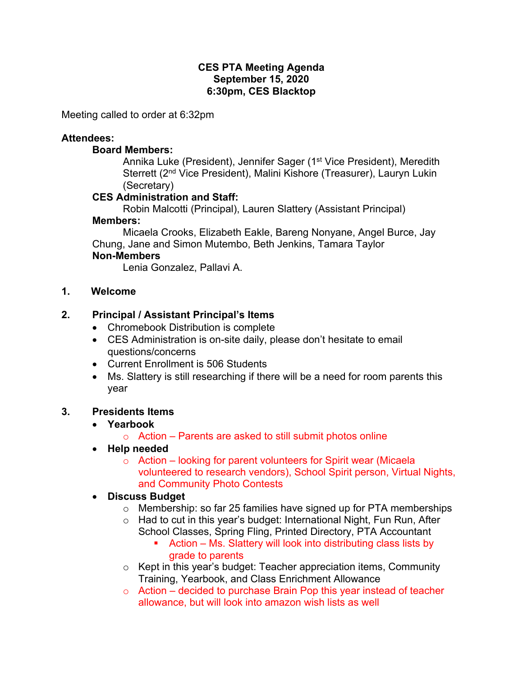#### **CES PTA Meeting Agenda September 15, 2020 6:30pm, CES Blacktop**

Meeting called to order at 6:32pm

#### **Attendees:**

#### **Board Members:**

Annika Luke (President), Jennifer Sager (1<sup>st</sup> Vice President), Meredith Sterrett (2nd Vice President), Malini Kishore (Treasurer), Lauryn Lukin (Secretary)

### **CES Administration and Staff:**

Robin Malcotti (Principal), Lauren Slattery (Assistant Principal) **Members:** 

Micaela Crooks, Elizabeth Eakle, Bareng Nonyane, Angel Burce, Jay Chung, Jane and Simon Mutembo, Beth Jenkins, Tamara Taylor

#### **Non-Members**

Lenia Gonzalez, Pallavi A.

**1. Welcome**

### **2. Principal / Assistant Principal's Items**

- Chromebook Distribution is complete
- CES Administration is on-site daily, please don't hesitate to email questions/concerns
- Current Enrollment is 506 Students
- Ms. Slattery is still researching if there will be a need for room parents this year

#### **3. Presidents Items**

## • **Yearbook**

- o Action Parents are asked to still submit photos online
- **Help needed**
	- $\circ$  Action looking for parent volunteers for Spirit wear (Micaela volunteered to research vendors), School Spirit person, Virtual Nights, and Community Photo Contests

#### • **Discuss Budget**

- o Membership: so far 25 families have signed up for PTA memberships
- o Had to cut in this year's budget: International Night, Fun Run, After School Classes, Spring Fling, Printed Directory, PTA Accountant
	- Action Ms. Slattery will look into distributing class lists by grade to parents
- o Kept in this year's budget: Teacher appreciation items, Community Training, Yearbook, and Class Enrichment Allowance
- $\circ$  Action decided to purchase Brain Pop this year instead of teacher allowance, but will look into amazon wish lists as well